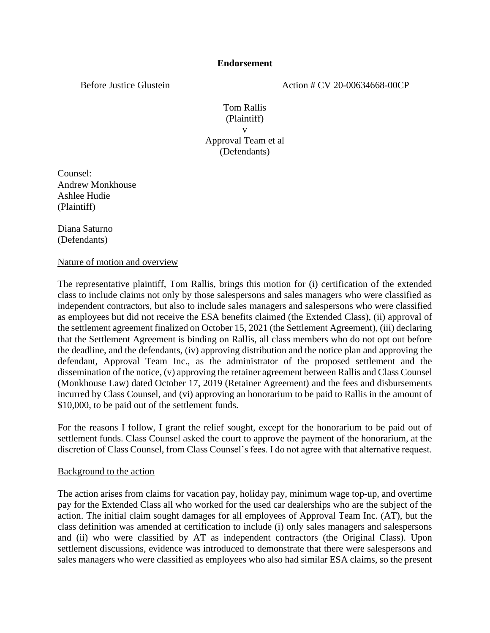Before Justice Glustein Action # CV 20-00634668-00CP

Tom Rallis (Plaintiff) v Approval Team et al (Defendants)

Counsel: Andrew Monkhouse Ashlee Hudie (Plaintiff)

Diana Saturno (Defendants)

Nature of motion and overview

The representative plaintiff, Tom Rallis, brings this motion for (i) certification of the extended class to include claims not only by those salespersons and sales managers who were classified as independent contractors, but also to include sales managers and salespersons who were classified as employees but did not receive the ESA benefits claimed (the Extended Class), (ii) approval of the settlement agreement finalized on October 15, 2021 (the Settlement Agreement), (iii) declaring that the Settlement Agreement is binding on Rallis, all class members who do not opt out before the deadline, and the defendants, (iv) approving distribution and the notice plan and approving the defendant, Approval Team Inc., as the administrator of the proposed settlement and the dissemination of the notice, (v) approving the retainer agreement between Rallis and Class Counsel (Monkhouse Law) dated October 17, 2019 (Retainer Agreement) and the fees and disbursements incurred by Class Counsel, and (vi) approving an honorarium to be paid to Rallis in the amount of \$10,000, to be paid out of the settlement funds.

For the reasons I follow, I grant the relief sought, except for the honorarium to be paid out of settlement funds. Class Counsel asked the court to approve the payment of the honorarium, at the discretion of Class Counsel, from Class Counsel's fees. I do not agree with that alternative request.

#### Background to the action

The action arises from claims for vacation pay, holiday pay, minimum wage top-up, and overtime pay for the Extended Class all who worked for the used car dealerships who are the subject of the action. The initial claim sought damages for all employees of Approval Team Inc. (AT), but the class definition was amended at certification to include (i) only sales managers and salespersons and (ii) who were classified by AT as independent contractors (the Original Class). Upon settlement discussions, evidence was introduced to demonstrate that there were salespersons and sales managers who were classified as employees who also had similar ESA claims, so the present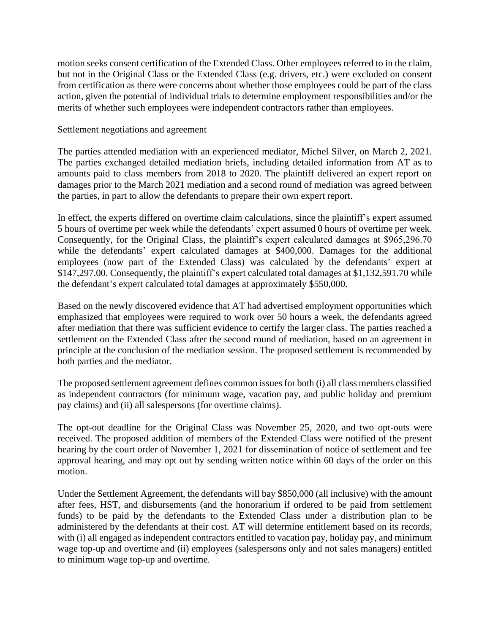motion seeks consent certification of the Extended Class. Other employees referred to in the claim, but not in the Original Class or the Extended Class (e.g. drivers, etc.) were excluded on consent from certification as there were concerns about whether those employees could be part of the class action, given the potential of individual trials to determine employment responsibilities and/or the merits of whether such employees were independent contractors rather than employees.

#### Settlement negotiations and agreement

The parties attended mediation with an experienced mediator, Michel Silver, on March 2, 2021. The parties exchanged detailed mediation briefs, including detailed information from AT as to amounts paid to class members from 2018 to 2020. The plaintiff delivered an expert report on damages prior to the March 2021 mediation and a second round of mediation was agreed between the parties, in part to allow the defendants to prepare their own expert report.

In effect, the experts differed on overtime claim calculations, since the plaintiff's expert assumed 5 hours of overtime per week while the defendants' expert assumed 0 hours of overtime per week. Consequently, for the Original Class, the plaintiff's expert calculated damages at \$965,296.70 while the defendants' expert calculated damages at \$400,000. Damages for the additional employees (now part of the Extended Class) was calculated by the defendants' expert at \$147,297.00. Consequently, the plaintiff's expert calculated total damages at \$1,132,591.70 while the defendant's expert calculated total damages at approximately \$550,000.

Based on the newly discovered evidence that AT had advertised employment opportunities which emphasized that employees were required to work over 50 hours a week, the defendants agreed after mediation that there was sufficient evidence to certify the larger class. The parties reached a settlement on the Extended Class after the second round of mediation, based on an agreement in principle at the conclusion of the mediation session. The proposed settlement is recommended by both parties and the mediator.

The proposed settlement agreement defines common issues for both (i) all class members classified as independent contractors (for minimum wage, vacation pay, and public holiday and premium pay claims) and (ii) all salespersons (for overtime claims).

The opt-out deadline for the Original Class was November 25, 2020, and two opt-outs were received. The proposed addition of members of the Extended Class were notified of the present hearing by the court order of November 1, 2021 for dissemination of notice of settlement and fee approval hearing, and may opt out by sending written notice within 60 days of the order on this motion.

Under the Settlement Agreement, the defendants will bay \$850,000 (all inclusive) with the amount after fees, HST, and disbursements (and the honorarium if ordered to be paid from settlement funds) to be paid by the defendants to the Extended Class under a distribution plan to be administered by the defendants at their cost. AT will determine entitlement based on its records, with (i) all engaged as independent contractors entitled to vacation pay, holiday pay, and minimum wage top-up and overtime and (ii) employees (salespersons only and not sales managers) entitled to minimum wage top-up and overtime.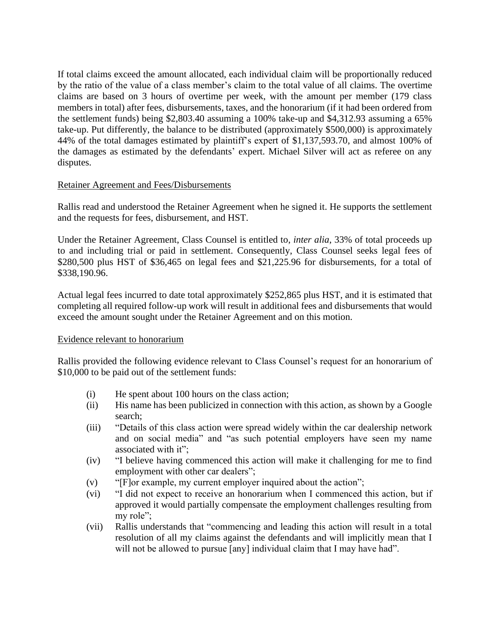If total claims exceed the amount allocated, each individual claim will be proportionally reduced by the ratio of the value of a class member's claim to the total value of all claims. The overtime claims are based on 3 hours of overtime per week, with the amount per member (179 class members in total) after fees, disbursements, taxes, and the honorarium (if it had been ordered from the settlement funds) being \$2,803.40 assuming a 100% take-up and \$4,312.93 assuming a 65% take-up. Put differently, the balance to be distributed (approximately \$500,000) is approximately 44% of the total damages estimated by plaintiff's expert of \$1,137,593.70, and almost 100% of the damages as estimated by the defendants' expert. Michael Silver will act as referee on any disputes.

# Retainer Agreement and Fees/Disbursements

Rallis read and understood the Retainer Agreement when he signed it. He supports the settlement and the requests for fees, disbursement, and HST.

Under the Retainer Agreement, Class Counsel is entitled to, *inter alia*, 33% of total proceeds up to and including trial or paid in settlement. Consequently, Class Counsel seeks legal fees of \$280,500 plus HST of \$36,465 on legal fees and \$21,225.96 for disbursements, for a total of \$338,190.96.

Actual legal fees incurred to date total approximately \$252,865 plus HST, and it is estimated that completing all required follow-up work will result in additional fees and disbursements that would exceed the amount sought under the Retainer Agreement and on this motion.

#### Evidence relevant to honorarium

Rallis provided the following evidence relevant to Class Counsel's request for an honorarium of \$10,000 to be paid out of the settlement funds:

- (i) He spent about 100 hours on the class action;
- (ii) His name has been publicized in connection with this action, as shown by a Google search;
- (iii) "Details of this class action were spread widely within the car dealership network and on social media" and "as such potential employers have seen my name associated with it";
- (iv) "I believe having commenced this action will make it challenging for me to find employment with other car dealers";
- (v) "[F]or example, my current employer inquired about the action";
- (vi) "I did not expect to receive an honorarium when I commenced this action, but if approved it would partially compensate the employment challenges resulting from my role":
- (vii) Rallis understands that "commencing and leading this action will result in a total resolution of all my claims against the defendants and will implicitly mean that I will not be allowed to pursue [any] individual claim that I may have had".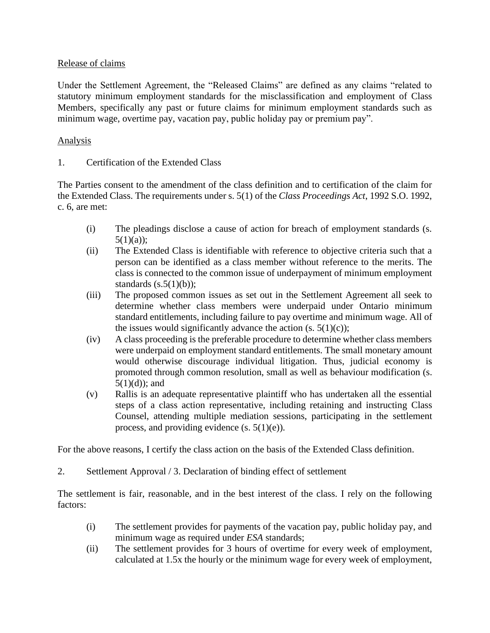# Release of claims

Under the Settlement Agreement, the "Released Claims" are defined as any claims "related to statutory minimum employment standards for the misclassification and employment of Class Members, specifically any past or future claims for minimum employment standards such as minimum wage, overtime pay, vacation pay, public holiday pay or premium pay".

# Analysis

1. Certification of the Extended Class

The Parties consent to the amendment of the class definition and to certification of the claim for the Extended Class. The requirements under s. 5(1) of the *Class Proceedings Act*, 1992 S.O. 1992, c. 6, are met:

- (i) The pleadings disclose a cause of action for breach of employment standards (s.  $5(1)(a)$ ;
- (ii) The Extended Class is identifiable with reference to objective criteria such that a person can be identified as a class member without reference to the merits. The class is connected to the common issue of underpayment of minimum employment standards  $(s.5(1)(b))$ ;
- (iii) The proposed common issues as set out in the Settlement Agreement all seek to determine whether class members were underpaid under Ontario minimum standard entitlements, including failure to pay overtime and minimum wage. All of the issues would significantly advance the action  $(s, 5(1)(c))$ ;
- (iv) A class proceeding is the preferable procedure to determine whether class members were underpaid on employment standard entitlements. The small monetary amount would otherwise discourage individual litigation. Thus, judicial economy is promoted through common resolution, small as well as behaviour modification (s.  $5(1)(d)$ ; and
- (v) Rallis is an adequate representative plaintiff who has undertaken all the essential steps of a class action representative, including retaining and instructing Class Counsel, attending multiple mediation sessions, participating in the settlement process, and providing evidence (s. 5(1)(e)).

For the above reasons, I certify the class action on the basis of the Extended Class definition.

2. Settlement Approval / 3. Declaration of binding effect of settlement

The settlement is fair, reasonable, and in the best interest of the class. I rely on the following factors:

- (i) The settlement provides for payments of the vacation pay, public holiday pay, and minimum wage as required under *ESA* standards;
- (ii) The settlement provides for 3 hours of overtime for every week of employment, calculated at 1.5x the hourly or the minimum wage for every week of employment,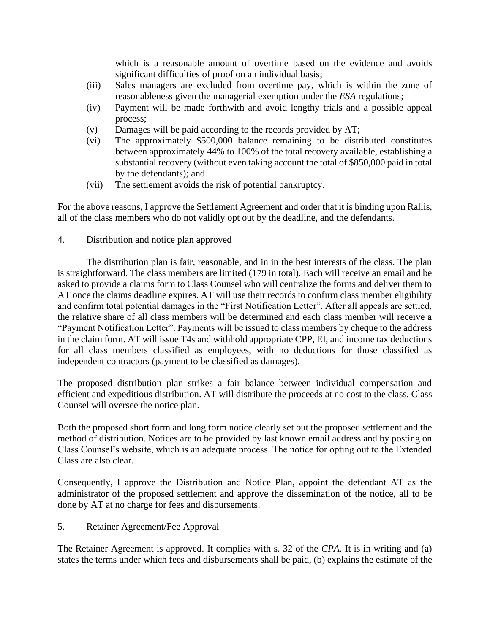which is a reasonable amount of overtime based on the evidence and avoids significant difficulties of proof on an individual basis;

- (iii) Sales managers are excluded from overtime pay, which is within the zone of reasonableness given the managerial exemption under the *ESA* regulations;
- (iv) Payment will be made forthwith and avoid lengthy trials and a possible appeal process;
- (v) Damages will be paid according to the records provided by AT;
- (vi) The approximately \$500,000 balance remaining to be distributed constitutes between approximately 44% to 100% of the total recovery available, establishing a substantial recovery (without even taking account the total of \$850,000 paid in total by the defendants); and
- (vii) The settlement avoids the risk of potential bankruptcy.

For the above reasons, I approve the Settlement Agreement and order that it is binding upon Rallis, all of the class members who do not validly opt out by the deadline, and the defendants.

4. Distribution and notice plan approved

The distribution plan is fair, reasonable, and in in the best interests of the class. The plan is straightforward. The class members are limited (179 in total). Each will receive an email and be asked to provide a claims form to Class Counsel who will centralize the forms and deliver them to AT once the claims deadline expires. AT will use their records to confirm class member eligibility and confirm total potential damages in the "First Notification Letter". After all appeals are settled, the relative share of all class members will be determined and each class member will receive a "Payment Notification Letter". Payments will be issued to class members by cheque to the address in the claim form. AT will issue T4s and withhold appropriate CPP, EI, and income tax deductions for all class members classified as employees, with no deductions for those classified as independent contractors (payment to be classified as damages).

The proposed distribution plan strikes a fair balance between individual compensation and efficient and expeditious distribution. AT will distribute the proceeds at no cost to the class. Class Counsel will oversee the notice plan.

Both the proposed short form and long form notice clearly set out the proposed settlement and the method of distribution. Notices are to be provided by last known email address and by posting on Class Counsel's website, which is an adequate process. The notice for opting out to the Extended Class are also clear.

Consequently, I approve the Distribution and Notice Plan, appoint the defendant AT as the administrator of the proposed settlement and approve the dissemination of the notice, all to be done by AT at no charge for fees and disbursements.

5. Retainer Agreement/Fee Approval

The Retainer Agreement is approved. It complies with s. 32 of the *CPA*. It is in writing and (a) states the terms under which fees and disbursements shall be paid, (b) explains the estimate of the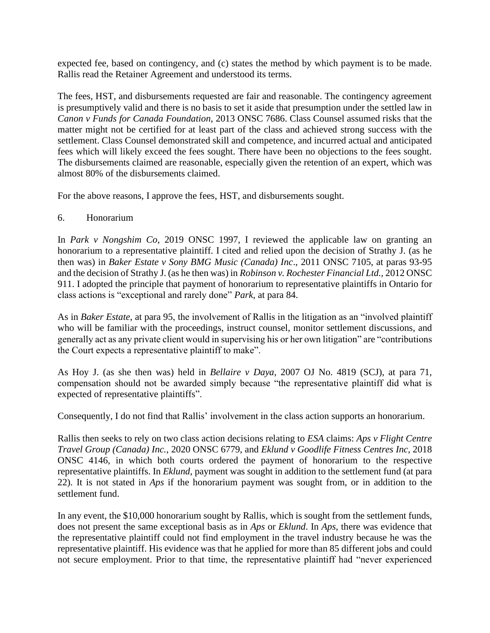expected fee, based on contingency, and (c) states the method by which payment is to be made. Rallis read the Retainer Agreement and understood its terms.

The fees, HST, and disbursements requested are fair and reasonable. The contingency agreement is presumptively valid and there is no basis to set it aside that presumption under the settled law in *Canon v Funds for Canada Foundation*, 2013 ONSC 7686. Class Counsel assumed risks that the matter might not be certified for at least part of the class and achieved strong success with the settlement. Class Counsel demonstrated skill and competence, and incurred actual and anticipated fees which will likely exceed the fees sought. There have been no objections to the fees sought. The disbursements claimed are reasonable, especially given the retention of an expert, which was almost 80% of the disbursements claimed.

For the above reasons, I approve the fees, HST, and disbursements sought.

# 6. Honorarium

In *Park v Nongshim Co*, 2019 ONSC 1997, I reviewed the applicable law on granting an honorarium to a representative plaintiff. I cited and relied upon the decision of Strathy J. (as he then was) in *Baker Estate v Sony BMG Music (Canada) Inc*., 2011 ONSC 7105, at paras 93-95 and the decision of Strathy J. (as he then was) in *Robinson v. Rochester Financial Ltd.,* 2012 ONSC 911. I adopted the principle that payment of honorarium to representative plaintiffs in Ontario for class actions is "exceptional and rarely done" *Park*, at para 84.

As in *Baker Estate*, at para 95, the involvement of Rallis in the litigation as an "involved plaintiff who will be familiar with the proceedings, instruct counsel, monitor settlement discussions, and generally act as any private client would in supervising his or her own litigation" are "contributions the Court expects a representative plaintiff to make".

As Hoy J. (as she then was) held in *Bellaire v Daya*, 2007 OJ No. 4819 (SCJ), at para 71, compensation should not be awarded simply because "the representative plaintiff did what is expected of representative plaintiffs".

Consequently, I do not find that Rallis' involvement in the class action supports an honorarium.

Rallis then seeks to rely on two class action decisions relating to *ESA* claims: *Aps v Flight Centre Travel Group (Canada) Inc.*, 2020 ONSC 6779, and *Eklund v Goodlife Fitness Centres Inc*, 2018 ONSC 4146, in which both courts ordered the payment of honorarium to the respective representative plaintiffs. In *Eklund*, payment was sought in addition to the settlement fund (at para 22). It is not stated in *Aps* if the honorarium payment was sought from, or in addition to the settlement fund.

In any event, the \$10,000 honorarium sought by Rallis, which is sought from the settlement funds, does not present the same exceptional basis as in *Aps* or *Eklund*. In *Aps*, there was evidence that the representative plaintiff could not find employment in the travel industry because he was the representative plaintiff. His evidence was that he applied for more than 85 different jobs and could not secure employment. Prior to that time, the representative plaintiff had "never experienced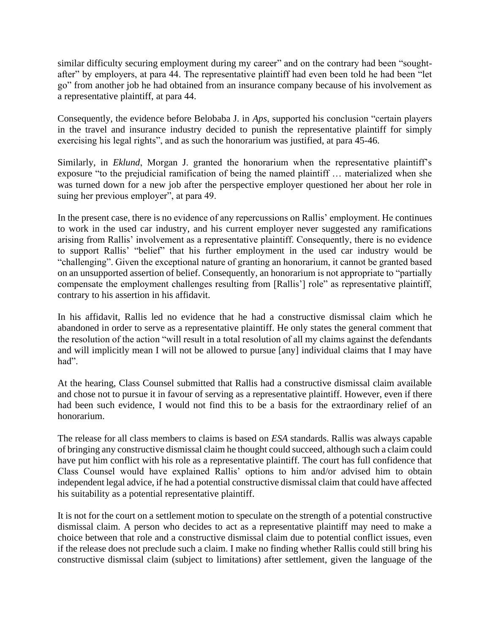similar difficulty securing employment during my career" and on the contrary had been "soughtafter" by employers, at para 44. The representative plaintiff had even been told he had been "let go" from another job he had obtained from an insurance company because of his involvement as a representative plaintiff, at para 44.

Consequently, the evidence before Belobaba J. in *Aps*, supported his conclusion "certain players in the travel and insurance industry decided to punish the representative plaintiff for simply exercising his legal rights", and as such the honorarium was justified, at para 45-46.

Similarly, in *Eklund*, Morgan J. granted the honorarium when the representative plaintiff's exposure "to the prejudicial ramification of being the named plaintiff … materialized when she was turned down for a new job after the perspective employer questioned her about her role in suing her previous employer", at para 49.

In the present case, there is no evidence of any repercussions on Rallis' employment. He continues to work in the used car industry, and his current employer never suggested any ramifications arising from Rallis' involvement as a representative plaintiff. Consequently, there is no evidence to support Rallis' "belief" that his further employment in the used car industry would be "challenging". Given the exceptional nature of granting an honorarium, it cannot be granted based on an unsupported assertion of belief. Consequently, an honorarium is not appropriate to "partially compensate the employment challenges resulting from [Rallis'] role" as representative plaintiff, contrary to his assertion in his affidavit.

In his affidavit, Rallis led no evidence that he had a constructive dismissal claim which he abandoned in order to serve as a representative plaintiff. He only states the general comment that the resolution of the action "will result in a total resolution of all my claims against the defendants and will implicitly mean I will not be allowed to pursue [any] individual claims that I may have had".

At the hearing, Class Counsel submitted that Rallis had a constructive dismissal claim available and chose not to pursue it in favour of serving as a representative plaintiff. However, even if there had been such evidence, I would not find this to be a basis for the extraordinary relief of an honorarium.

The release for all class members to claims is based on *ESA* standards. Rallis was always capable of bringing any constructive dismissal claim he thought could succeed, although such a claim could have put him conflict with his role as a representative plaintiff. The court has full confidence that Class Counsel would have explained Rallis' options to him and/or advised him to obtain independent legal advice, if he had a potential constructive dismissal claim that could have affected his suitability as a potential representative plaintiff.

It is not for the court on a settlement motion to speculate on the strength of a potential constructive dismissal claim. A person who decides to act as a representative plaintiff may need to make a choice between that role and a constructive dismissal claim due to potential conflict issues, even if the release does not preclude such a claim. I make no finding whether Rallis could still bring his constructive dismissal claim (subject to limitations) after settlement, given the language of the